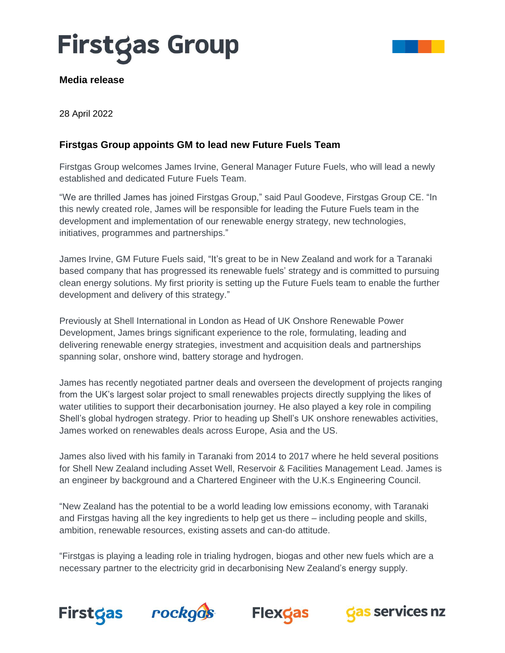# **Firstgas Group**



#### **Media release**

28 April 2022

### **Firstgas Group appoints GM to lead new Future Fuels Team**

Firstgas Group welcomes James Irvine, General Manager Future Fuels, who will lead a newly established and dedicated Future Fuels Team.

"We are thrilled James has joined Firstgas Group," said Paul Goodeve, Firstgas Group CE. "In this newly created role, James will be responsible for leading the Future Fuels team in the development and implementation of our renewable energy strategy, new technologies, initiatives, programmes and partnerships."

James Irvine, GM Future Fuels said, "It's great to be in New Zealand and work for a Taranaki based company that has progressed its renewable fuels' strategy and is committed to pursuing clean energy solutions. My first priority is setting up the Future Fuels team to enable the further development and delivery of this strategy."

Previously at Shell International in London as Head of UK Onshore Renewable Power Development, James brings significant experience to the role, formulating, leading and delivering renewable energy strategies, investment and acquisition deals and partnerships spanning solar, onshore wind, battery storage and hydrogen.

James has recently negotiated partner deals and overseen the development of projects ranging from the UK's largest solar project to small renewables projects directly supplying the likes of water utilities to support their decarbonisation journey. He also played a key role in compiling Shell's global hydrogen strategy. Prior to heading up Shell's UK onshore renewables activities, James worked on renewables deals across Europe, Asia and the US.

James also lived with his family in Taranaki from 2014 to 2017 where he held several positions for Shell New Zealand including Asset Well, Reservoir & Facilities Management Lead. James is an engineer by background and a Chartered Engineer with the U.K.s Engineering Council.

"New Zealand has the potential to be a world leading low emissions economy, with Taranaki and Firstgas having all the key ingredients to help get us there – including people and skills, ambition, renewable resources, existing assets and can-do attitude.

"Firstgas is playing a leading role in trialing hydrogen, biogas and other new fuels which are a necessary partner to the electricity grid in decarbonising New Zealand's energy supply.